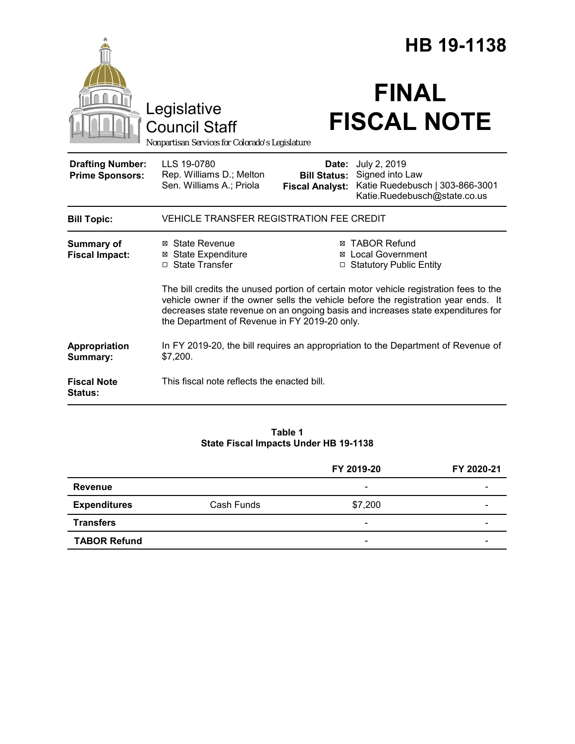|                                                   |                                                                                                                                                                                                                                                                                                                  | HB 19-1138                                             |                                                                                                    |  |
|---------------------------------------------------|------------------------------------------------------------------------------------------------------------------------------------------------------------------------------------------------------------------------------------------------------------------------------------------------------------------|--------------------------------------------------------|----------------------------------------------------------------------------------------------------|--|
|                                                   | Legislative<br><b>Council Staff</b><br>Nonpartisan Services for Colorado's Legislature                                                                                                                                                                                                                           |                                                        | <b>FINAL</b><br><b>FISCAL NOTE</b>                                                                 |  |
| <b>Drafting Number:</b><br><b>Prime Sponsors:</b> | LLS 19-0780<br>Rep. Williams D.; Melton<br>Sen. Williams A.; Priola                                                                                                                                                                                                                                              | Date:<br><b>Bill Status:</b><br><b>Fiscal Analyst:</b> | July 2, 2019<br>Signed into Law<br>Katie Ruedebusch   303-866-3001<br>Katie.Ruedebusch@state.co.us |  |
| <b>Bill Topic:</b>                                | VEHICLE TRANSFER REGISTRATION FEE CREDIT                                                                                                                                                                                                                                                                         |                                                        |                                                                                                    |  |
| <b>Summary of</b><br><b>Fiscal Impact:</b>        | ⊠ State Revenue<br><b>⊠</b> State Expenditure<br>□ State Transfer                                                                                                                                                                                                                                                |                                                        | <b>⊠ TABOR Refund</b><br><b>⊠</b> Local Government<br>□ Statutory Public Entity                    |  |
|                                                   | The bill credits the unused portion of certain motor vehicle registration fees to the<br>vehicle owner if the owner sells the vehicle before the registration year ends. It<br>decreases state revenue on an ongoing basis and increases state expenditures for<br>the Department of Revenue in FY 2019-20 only. |                                                        |                                                                                                    |  |
| Appropriation<br>Summary:                         | In FY 2019-20, the bill requires an appropriation to the Department of Revenue of<br>\$7,200.                                                                                                                                                                                                                    |                                                        |                                                                                                    |  |
| <b>Fiscal Note</b><br>Status:                     | This fiscal note reflects the enacted bill.                                                                                                                                                                                                                                                                      |                                                        |                                                                                                    |  |

#### **Table 1 State Fiscal Impacts Under HB 19-1138**

|                     |            | FY 2019-20               | FY 2020-21 |
|---------------------|------------|--------------------------|------------|
| <b>Revenue</b>      |            | $\overline{\phantom{a}}$ |            |
| <b>Expenditures</b> | Cash Funds | \$7,200                  |            |
| <b>Transfers</b>    |            | $\overline{\phantom{0}}$ | -          |
| <b>TABOR Refund</b> |            | -                        |            |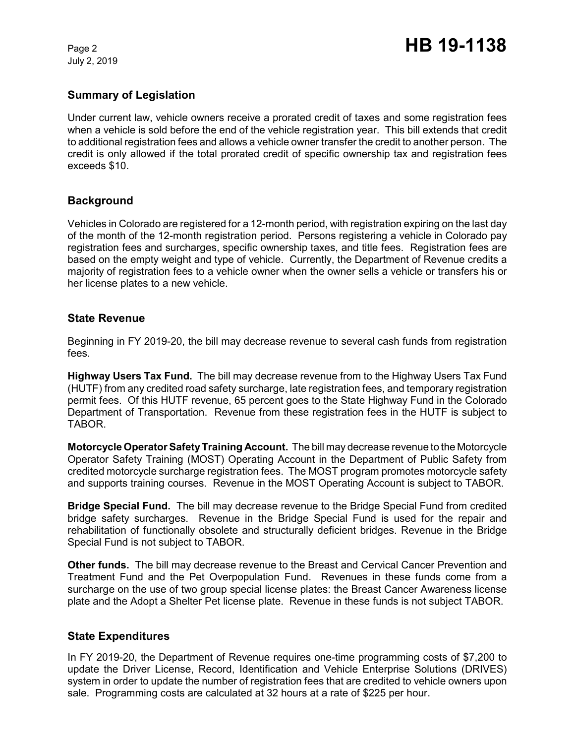July 2, 2019

# **Summary of Legislation**

Under current law, vehicle owners receive a prorated credit of taxes and some registration fees when a vehicle is sold before the end of the vehicle registration year. This bill extends that credit to additional registration fees and allows a vehicle owner transfer the credit to another person. The credit is only allowed if the total prorated credit of specific ownership tax and registration fees exceeds \$10.

### **Background**

Vehicles in Colorado are registered for a 12-month period, with registration expiring on the last day of the month of the 12-month registration period. Persons registering a vehicle in Colorado pay registration fees and surcharges, specific ownership taxes, and title fees. Registration fees are based on the empty weight and type of vehicle. Currently, the Department of Revenue credits a majority of registration fees to a vehicle owner when the owner sells a vehicle or transfers his or her license plates to a new vehicle.

#### **State Revenue**

Beginning in FY 2019-20, the bill may decrease revenue to several cash funds from registration fees.

**Highway Users Tax Fund.** The bill may decrease revenue from to the Highway Users Tax Fund (HUTF) from any credited road safety surcharge, late registration fees, and temporary registration permit fees. Of this HUTF revenue, 65 percent goes to the State Highway Fund in the Colorado Department of Transportation. Revenue from these registration fees in the HUTF is subject to TABOR.

**Motorcycle Operator Safety Training Account.** The bill may decrease revenue to the Motorcycle Operator Safety Training (MOST) Operating Account in the Department of Public Safety from credited motorcycle surcharge registration fees. The MOST program promotes motorcycle safety and supports training courses. Revenue in the MOST Operating Account is subject to TABOR.

**Bridge Special Fund.** The bill may decrease revenue to the Bridge Special Fund from credited bridge safety surcharges. Revenue in the Bridge Special Fund is used for the repair and rehabilitation of functionally obsolete and structurally deficient bridges. Revenue in the Bridge Special Fund is not subject to TABOR.

**Other funds.** The bill may decrease revenue to the Breast and Cervical Cancer Prevention and Treatment Fund and the Pet Overpopulation Fund. Revenues in these funds come from a surcharge on the use of two group special license plates: the Breast Cancer Awareness license plate and the Adopt a Shelter Pet license plate. Revenue in these funds is not subject TABOR.

#### **State Expenditures**

In FY 2019-20, the Department of Revenue requires one-time programming costs of \$7,200 to update the Driver License, Record, Identification and Vehicle Enterprise Solutions (DRIVES) system in order to update the number of registration fees that are credited to vehicle owners upon sale. Programming costs are calculated at 32 hours at a rate of \$225 per hour.